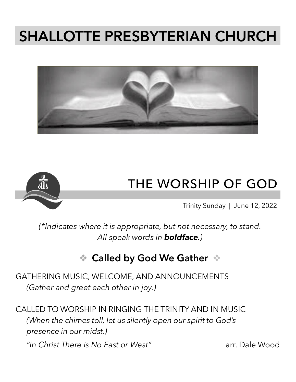# **SHALLOTTE PRESBYTERIAN CHURCH**





## **THE WORSHIP OF GOD**

Trinity Sunday | June 12, 2022

*(\*Indicates where it is appropriate, but not necessary, to stand. All speak words in boldface.)*

## ❖ **Called by God We Gather** ❖

GATHERING MUSIC, WELCOME, AND ANNOUNCEMENTS *(Gather and greet each other in joy.)*

CALLED TO WORSHIP IN RINGING THE TRINITY AND IN MUSIC *(When the chimes toll, let us silently open our spirit to God's presence in our midst.)*

*"In Christ There is No East or West"* arr. Dale Wood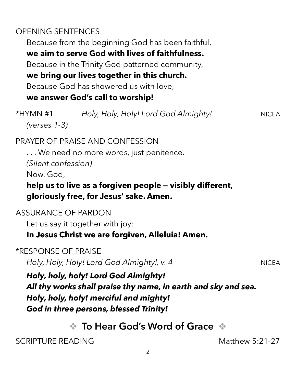#### OPENING SENTENCES

Because from the beginning God has been faithful, **we aim to serve God with lives of faithfulness.** Because in the Trinity God patterned community, **we bring our lives together in this church.** Because God has showered us with love, **we answer God's call to worship!** \*HYMN #1 *Holy, Holy, Holy! Lord God Almighty!* NICEA

PRAYER OF PRAISE AND CONFESSION

. . . We need no more words, just penitence. *(Silent confession)*

Now, God,

*(verses 1-3)*

#### **help us to live as a forgiven people — visibly different, gloriously free, for Jesus' sake. Amen.**

#### ASSURANCE OF PARDON

Let us say it together with joy:

#### **In Jesus Christ we are forgiven, Alleluia! Amen.**

\*RESPONSE OF PRAISE

*Holy, Holy, Holy! Lord God Almighty!, v. 4* NICEA

*Holy, holy, holy! Lord God Almighty! All thy works shall praise thy name, in earth and sky and sea. Holy, holy, holy! merciful and mighty! God in three persons, blessed Trinity!* 

❖ **To Hear God's Word of Grace** ❖

SCRIPTURE READING Matthew 5:21-27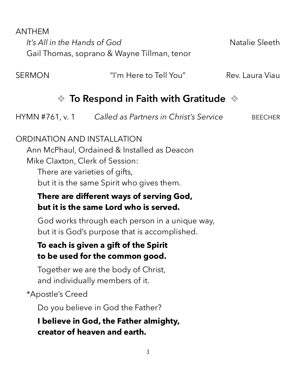ANTHEM

*It's All in the Hands of God* Natalie Sleeth Gail Thomas, soprano & Wayne Tillman, tenor

SERMON The matter of the Tell You" Rev. Laura Viau

## ❖ **To Respond in Faith with Gratitude** ❖

HYMN #761, v. 1 *Called as Partners in Christ's Service* BEECHER

#### ORDINATION AND INSTALLATION

Ann McPhaul, Ordained & Installed as Deacon Mike Claxton, Clerk of Session:

There are varieties of gifts, but it is the same Spirit who gives them.

#### **There are different ways of serving God, but it is the same Lord who is served.**

God works through each person in a unique way, but it is God's purpose that is accomplished.

#### **To each is given a gift of the Spirit to be used for the common good.**

Together we are the body of Christ, and individually members of it.

\*Apostle's Creed

Do you believe in God the Father?

**I believe in God, the Father almighty, creator of heaven and earth.**